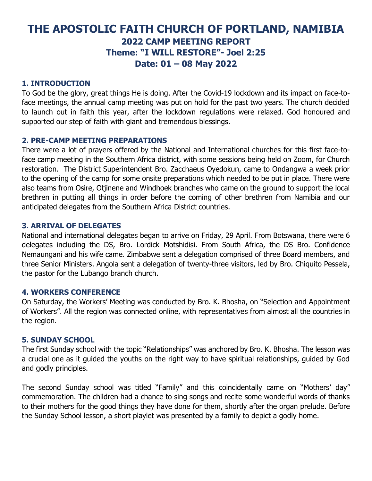# **THE APOSTOLIC FAITH CHURCH OF PORTLAND, NAMIBIA 2022 CAMP MEETING REPORT Theme: "I WILL RESTORE"- Joel 2:25 Date: 01 – 08 May 2022**

## **1. INTRODUCTION**

To God be the glory, great things He is doing. After the Covid-19 lockdown and its impact on face-toface meetings, the annual camp meeting was put on hold for the past two years. The church decided to launch out in faith this year, after the lockdown regulations were relaxed. God honoured and supported our step of faith with giant and tremendous blessings.

# **2. PRE-CAMP MEETING PREPARATIONS**

There were a lot of prayers offered by the National and International churches for this first face-toface camp meeting in the Southern Africa district, with some sessions being held on Zoom, for Church restoration. The District Superintendent Bro. Zacchaeus Oyedokun, came to Ondangwa a week prior to the opening of the camp for some onsite preparations which needed to be put in place. There were also teams from Osire, Otjinene and Windhoek branches who came on the ground to support the local brethren in putting all things in order before the coming of other brethren from Namibia and our anticipated delegates from the Southern Africa District countries.

### **3. ARRIVAL OF DELEGATES**

National and international delegates began to arrive on Friday, 29 April. From Botswana, there were 6 delegates including the DS, Bro. Lordick Motshidisi. From South Africa, the DS Bro. Confidence Nemaungani and his wife came. Zimbabwe sent a delegation comprised of three Board members, and three Senior Ministers. Angola sent a delegation of twenty-three visitors, led by Bro. Chiquito Pessela, the pastor for the Lubango branch church.

### **4. WORKERS CONFERENCE**

On Saturday, the Workers' Meeting was conducted by Bro. K. Bhosha, on "Selection and Appointment of Workers". All the region was connected online, with representatives from almost all the countries in the region.

### **5. SUNDAY SCHOOL**

The first Sunday school with the topic "Relationships" was anchored by Bro. K. Bhosha. The lesson was a crucial one as it guided the youths on the right way to have spiritual relationships, guided by God and godly principles.

The second Sunday school was titled "Family" and this coincidentally came on "Mothers' day" commemoration. The children had a chance to sing songs and recite some wonderful words of thanks to their mothers for the good things they have done for them, shortly after the organ prelude. Before the Sunday School lesson, a short playlet was presented by a family to depict a godly home.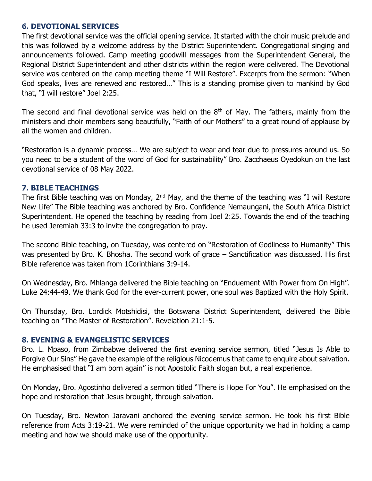#### **6. DEVOTIONAL SERVICES**

The first devotional service was the official opening service. It started with the choir music prelude and this was followed by a welcome address by the District Superintendent. Congregational singing and announcements followed. Camp meeting goodwill messages from the Superintendent General, the Regional District Superintendent and other districts within the region were delivered. The Devotional service was centered on the camp meeting theme "I Will Restore". Excerpts from the sermon: "When God speaks, lives are renewed and restored…" This is a standing promise given to mankind by God that, "I will restore" Joel 2:25.

The second and final devotional service was held on the  $8<sup>th</sup>$  of May. The fathers, mainly from the ministers and choir members sang beautifully, "Faith of our Mothers" to a great round of applause by all the women and children.

"Restoration is a dynamic process… We are subject to wear and tear due to pressures around us. So you need to be a student of the word of God for sustainability" Bro. Zacchaeus Oyedokun on the last devotional service of 08 May 2022.

### **7. BIBLE TEACHINGS**

The first Bible teaching was on Monday,  $2<sup>nd</sup>$  May, and the theme of the teaching was "I will Restore New Life" The Bible teaching was anchored by Bro. Confidence Nemaungani, the South Africa District Superintendent. He opened the teaching by reading from Joel 2:25. Towards the end of the teaching he used Jeremiah 33:3 to invite the congregation to pray.

The second Bible teaching, on Tuesday, was centered on "Restoration of Godliness to Humanity" This was presented by Bro. K. Bhosha. The second work of grace – Sanctification was discussed. His first Bible reference was taken from 1Corinthians 3:9-14.

On Wednesday, Bro. Mhlanga delivered the Bible teaching on "Enduement With Power from On High". Luke 24:44-49. We thank God for the ever-current power, one soul was Baptized with the Holy Spirit.

On Thursday, Bro. Lordick Motshidisi, the Botswana District Superintendent, delivered the Bible teaching on "The Master of Restoration". Revelation 21:1-5.

### **8. EVENING & EVANGELISTIC SERVICES**

Bro. L. Mpaso, from Zimbabwe delivered the first evening service sermon, titled "Jesus Is Able to Forgive Our Sins" He gave the example of the religious Nicodemus that came to enquire about salvation. He emphasised that "I am born again" is not Apostolic Faith slogan but, a real experience.

On Monday, Bro. Agostinho delivered a sermon titled "There is Hope For You". He emphasised on the hope and restoration that Jesus brought, through salvation.

On Tuesday, Bro. Newton Jaravani anchored the evening service sermon. He took his first Bible reference from Acts 3:19-21. We were reminded of the unique opportunity we had in holding a camp meeting and how we should make use of the opportunity.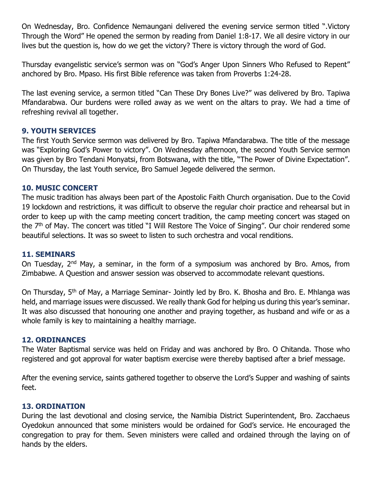On Wednesday, Bro. Confidence Nemaungani delivered the evening service sermon titled ".Victory Through the Word" He opened the sermon by reading from Daniel 1:8-17. We all desire victory in our lives but the question is, how do we get the victory? There is victory through the word of God.

Thursday evangelistic service's sermon was on "God's Anger Upon Sinners Who Refused to Repent" anchored by Bro. Mpaso. His first Bible reference was taken from Proverbs 1:24-28.

The last evening service, a sermon titled "Can These Dry Bones Live?" was delivered by Bro. Tapiwa Mfandarabwa. Our burdens were rolled away as we went on the altars to pray. We had a time of refreshing revival all together.

### **9. YOUTH SERVICES**

The first Youth Service sermon was delivered by Bro. Tapiwa Mfandarabwa. The title of the message was "Exploring God's Power to victory". On Wednesday afternoon, the second Youth Service sermon was given by Bro Tendani Monyatsi, from Botswana, with the title, "The Power of Divine Expectation". On Thursday, the last Youth service, Bro Samuel Jegede delivered the sermon.

### **10. MUSIC CONCERT**

The music tradition has always been part of the Apostolic Faith Church organisation. Due to the Covid 19 lockdown and restrictions, it was difficult to observe the regular choir practice and rehearsal but in order to keep up with the camp meeting concert tradition, the camp meeting concert was staged on the 7<sup>th</sup> of May. The concert was titled "I Will Restore The Voice of Singing". Our choir rendered some beautiful selections. It was so sweet to listen to such orchestra and vocal renditions.

### **11. SEMINARS**

On Tuesday, 2nd May, a seminar, in the form of a symposium was anchored by Bro. Amos, from Zimbabwe. A Question and answer session was observed to accommodate relevant questions.

On Thursday, 5th of May, a Marriage Seminar- Jointly led by Bro. K. Bhosha and Bro. E. Mhlanga was held, and marriage issues were discussed. We really thank God for helping us during this year's seminar. It was also discussed that honouring one another and praying together, as husband and wife or as a whole family is key to maintaining a healthy marriage.

### **12. ORDINANCES**

The Water Baptismal service was held on Friday and was anchored by Bro. O Chitanda. Those who registered and got approval for water baptism exercise were thereby baptised after a brief message.

After the evening service, saints gathered together to observe the Lord's Supper and washing of saints feet.

### **13. ORDINATION**

During the last devotional and closing service, the Namibia District Superintendent, Bro. Zacchaeus Oyedokun announced that some ministers would be ordained for God's service. He encouraged the congregation to pray for them. Seven ministers were called and ordained through the laying on of hands by the elders.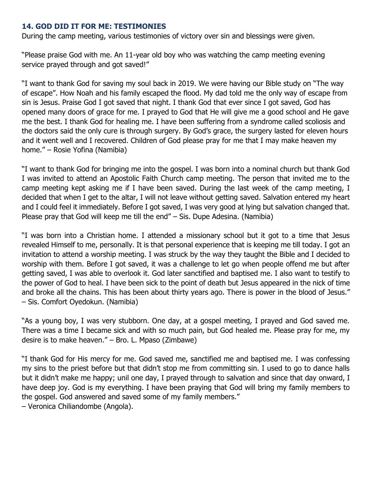## **14. GOD DID IT FOR ME: TESTIMONIES**

During the camp meeting, various testimonies of victory over sin and blessings were given.

"Please praise God with me. An 11-year old boy who was watching the camp meeting evening service prayed through and got saved!"

"I want to thank God for saving my soul back in 2019. We were having our Bible study on "The way of escape". How Noah and his family escaped the flood. My dad told me the only way of escape from sin is Jesus. Praise God I got saved that night. I thank God that ever since I got saved, God has opened many doors of grace for me. I prayed to God that He will give me a good school and He gave me the best. I thank God for healing me. I have been suffering from a syndrome called scoliosis and the doctors said the only cure is through surgery. By God's grace, the surgery lasted for eleven hours and it went well and I recovered. Children of God please pray for me that I may make heaven my home." – Rosie Yofina (Namibia)

"I want to thank God for bringing me into the gospel. I was born into a nominal church but thank God I was invited to attend an Apostolic Faith Church camp meeting. The person that invited me to the camp meeting kept asking me if I have been saved. During the last week of the camp meeting, I decided that when I get to the altar, I will not leave without getting saved. Salvation entered my heart and I could feel it immediately. Before I got saved, I was very good at lying but salvation changed that. Please pray that God will keep me till the end" – Sis. Dupe Adesina. (Namibia)

"I was born into a Christian home. I attended a missionary school but it got to a time that Jesus revealed Himself to me, personally. It is that personal experience that is keeping me till today. I got an invitation to attend a worship meeting. I was struck by the way they taught the Bible and I decided to worship with them. Before I got saved, it was a challenge to let go when people offend me but after getting saved, I was able to overlook it. God later sanctified and baptised me. I also want to testify to the power of God to heal. I have been sick to the point of death but Jesus appeared in the nick of time and broke all the chains. This has been about thirty years ago. There is power in the blood of Jesus." – Sis. Comfort Oyedokun. (Namibia)

"As a young boy, I was very stubborn. One day, at a gospel meeting, I prayed and God saved me. There was a time I became sick and with so much pain, but God healed me. Please pray for me, my desire is to make heaven." – Bro. L. Mpaso (Zimbawe)

"I thank God for His mercy for me. God saved me, sanctified me and baptised me. I was confessing my sins to the priest before but that didn't stop me from committing sin. I used to go to dance halls but it didn't make me happy; unil one day, I prayed through to salvation and since that day onward, I have deep joy. God is my everything. I have been praying that God will bring my family members to the gospel. God answered and saved some of my family members."

– Veronica Chiliandombe (Angola).